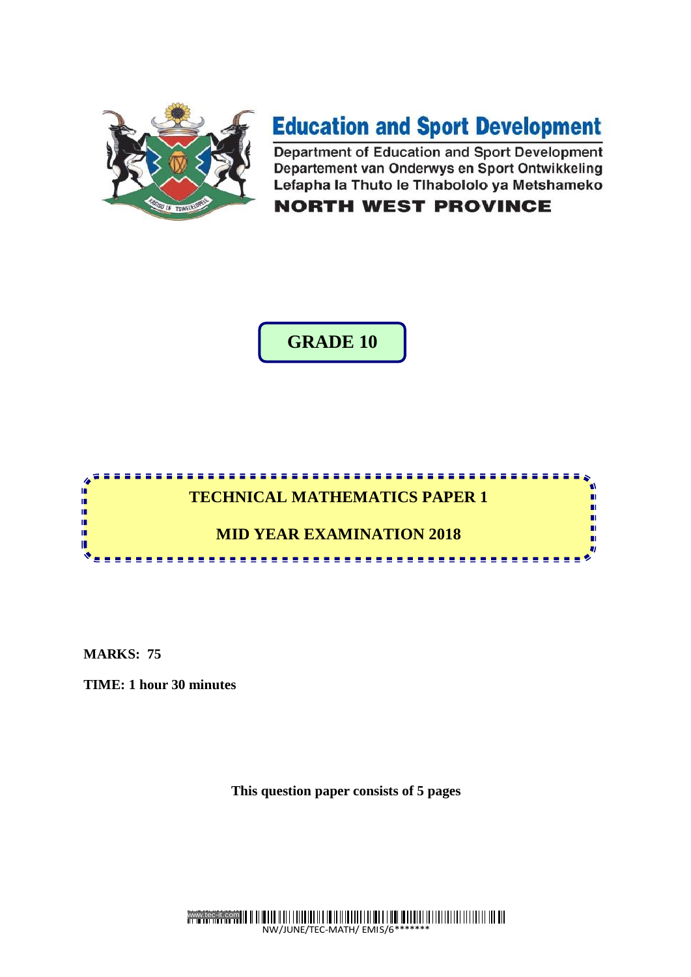

# **Education and Sport Development**

Department of Education and Sport Development Departement van Onderwys en Sport Ontwikkeling Lefapha la Thuto le Tlhabololo ya Metshameko

# **NORTH WEST PROVINCE**

**GRADE 10**



**MARKS: 75**

**TIME: 1 hour 30 minutes**

**This question paper consists of 5 pages**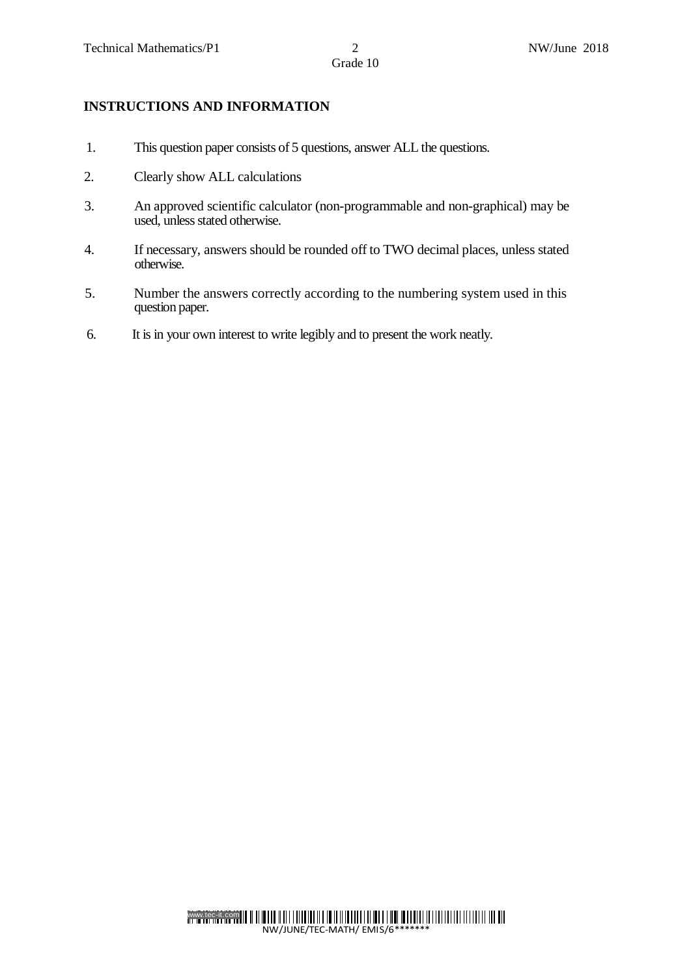- 1. This question paper consists of 5 questions, answer ALL the questions.
- 2. Clearly show ALL calculations

**INSTRUCTIONS AND INFORMATION**

- 3. An approved scientific calculator (non-programmable and non-graphical) may be used, unless stated otherwise.
- 4. If necessary, answers should be rounded off to TWO decimal places, unless stated otherwise.
- 5. Number the answers correctly according to the numbering system used in this question paper.
- 6. It is in your own interest to write legibly and to present the work neatly.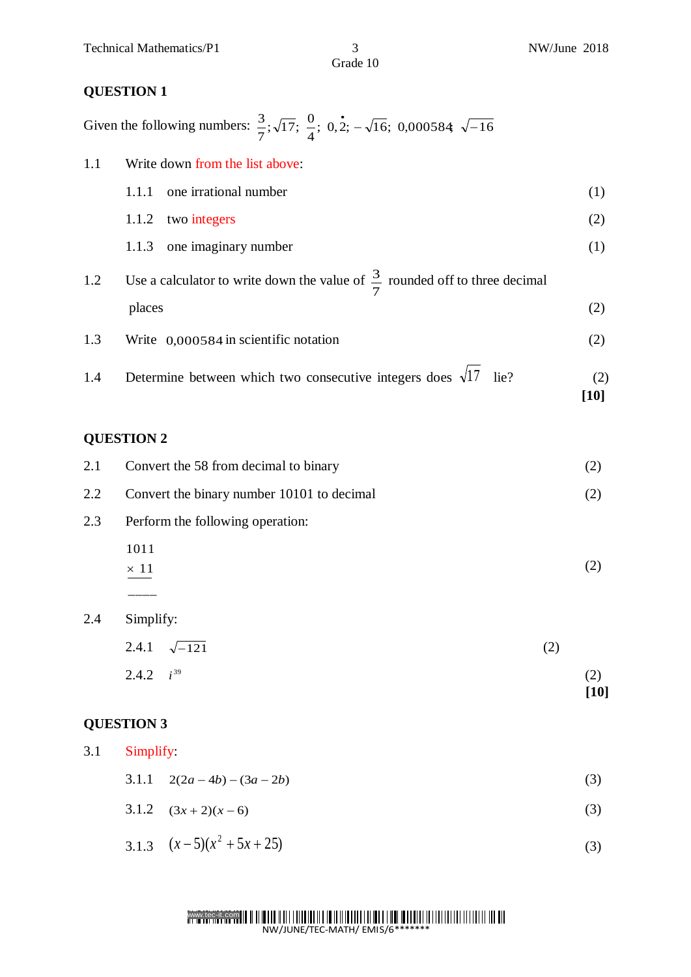# **QUESTION 1**

| Given the following numbers: $\frac{3}{7}$ ; $\sqrt{17}$ ; $\frac{0}{4}$ ; 0,2; $-\sqrt{16}$ ; 0,000584; $\sqrt{-16}$ |  |  |  |
|-----------------------------------------------------------------------------------------------------------------------|--|--|--|
|-----------------------------------------------------------------------------------------------------------------------|--|--|--|

| 1.1 | Write down from the list above:                                                        |             |  |  |
|-----|----------------------------------------------------------------------------------------|-------------|--|--|
|     | one irrational number<br>1.1.1                                                         | (1)         |  |  |
|     | two integers<br>1.1.2                                                                  | (2)         |  |  |
|     | one imaginary number<br>1.1.3                                                          | (1)         |  |  |
| 1.2 | Use a calculator to write down the value of $\frac{3}{7}$ rounded off to three decimal |             |  |  |
|     | places                                                                                 | (2)         |  |  |
| 1.3 | Write 0,000584 in scientific notation                                                  | (2)         |  |  |
| 1.4 | Determine between which two consecutive integers does $\sqrt{17}$ lie?                 | (2)<br>[10] |  |  |

# **QUESTION 2**

|     | $i^{39}$<br>2.4.2                          |     | (2)<br>$\lceil 10 \rceil$ |
|-----|--------------------------------------------|-----|---------------------------|
|     | 2.4.1<br>$\sqrt{-121}$                     | (2) |                           |
| 2.4 | Simplify:                                  |     |                           |
|     |                                            |     |                           |
|     | $\times$ 11                                |     | (2)                       |
|     | 1011                                       |     |                           |
| 2.3 | Perform the following operation:           |     |                           |
| 2.2 | Convert the binary number 10101 to decimal |     |                           |
| 2.1 | Convert the 58 from decimal to binary      |     | (2)                       |

# **QUESTION 3**

| 3.1<br>Simplify: |  |                          |     |
|------------------|--|--------------------------|-----|
|                  |  | 3.1.1 $2(2a-4b)-(3a-2b)$ | (3) |
|                  |  | 3.1.2 $(3x+2)(x-6)$      | (3) |
|                  |  | 3.1.3 $(x-5)(x^2+5x+25)$ |     |

### www.tec-it.com NW/JUNE/TEC-MATH/ EMIS/6\*\*\*\*\*\*\*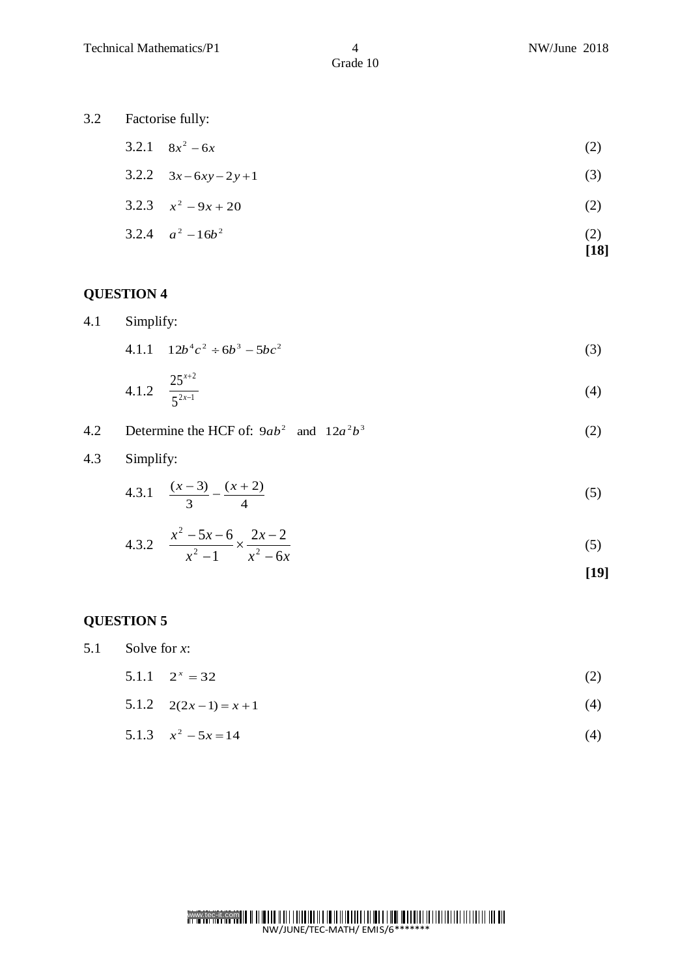**[18]**

Grade 10

- 3.2 Factorise fully:
	- $3.2.1 \quad 8x^2 6x$  $2^2 - 6x$  (2)
	- $3.2.2$   $3x 6xy 2y + 1$ (3)
	- 3.2.3  $x^2 9x + 20$ (2)
	- 3.2.4  $a^2 16b^2$ (2)

# **QUESTION 4**

4.1 Simplify:

4.1.1 
$$
12b^4c^2 \div 6b^3 - 5bc^2
$$
 (3)

4.1.2 
$$
\frac{25^{x+2}}{5^{2x-1}}
$$
 (4)

- 4.2 Determine the HCF of:  $9ab^2$  and  $12a^2b^3$ (2)
- 4.3 Simplify:

4.3.1 
$$
\frac{(x-3)}{3} - \frac{(x+2)}{4}
$$
 (5)

4.3.2 
$$
\frac{x^2 - 5x - 6}{x^2 - 1} \times \frac{2x - 2}{x^2 - 6x}
$$
 (5)

$$
[19]
$$

# **QUESTION 5**

5.1 Solve for *x*:

- 5.1.1  $2^{x} = 32$ (2)
- 5.1.2  $2(2x-1) = x+1$ (4)
- 5.1.3  $x^2 5x = 14$ (4)